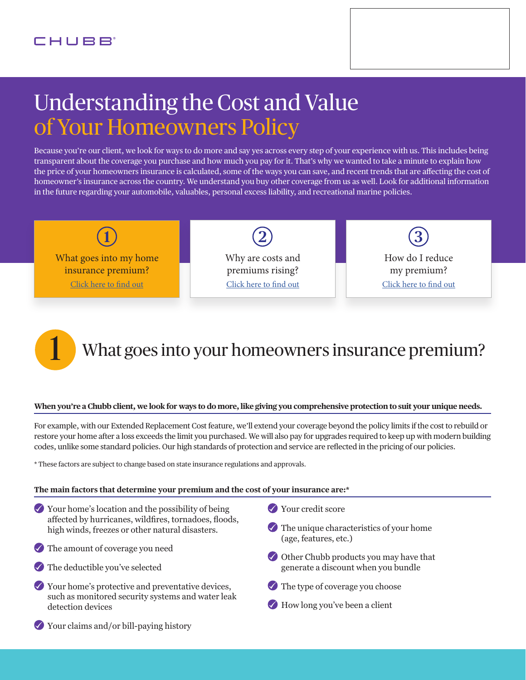# Understanding the Cost and Value of Your Homeowners Policy

Because you're our client, we look for ways to do more and say yes across every step of your experience with us. This includes being transparent about the coverage you purchase and how much you pay for it. That's why we wanted to take a minute to explain how the price of your homeowners insurance is calculated, some of the ways you can save, and recent trends that are affecting the cost of homeowner's insurance across the country. We understand you buy other coverage from us as well. Look for additional information in the future regarding your automobile, valuables, personal excess liability, and recreational marine policies.



# What goes into your homeowners insurance premium?

### **When you're a Chubb client, we look for ways to do more, like giving you comprehensive protection to suit your unique needs.**

For example, with our Extended Replacement Cost feature, we'll extend your coverage beyond the policy limits if the cost to rebuild or restore your home after a loss exceeds the limit you purchased. We will also pay for upgrades required to keep up with modern building codes, unlike some standard policies. Our high standards of protection and service are reflected in the pricing of our policies.

\* These factors are subject to change based on state insurance regulations and approvals.

#### **The main factors that determine your premium and the cost of your insurance are:\***

- Your home's location and the possibility of being affected by hurricanes, wildfires, tornadoes, floods, high winds, freezes or other natural disasters.
- The amount of coverage you need
- The deductible you've selected
- $\vee$  Your home's protective and preventative devices, such as monitored security systems and water leak detection devices
- Your credit score
- $\blacktriangleright$  The unique characteristics of your home (age, features, etc.)
- Other Chubb products you may have that generate a discount when you bundle
- The type of coverage you choose
- $\blacklozenge$  How long you've been a client

Your claims and/or bill-paying history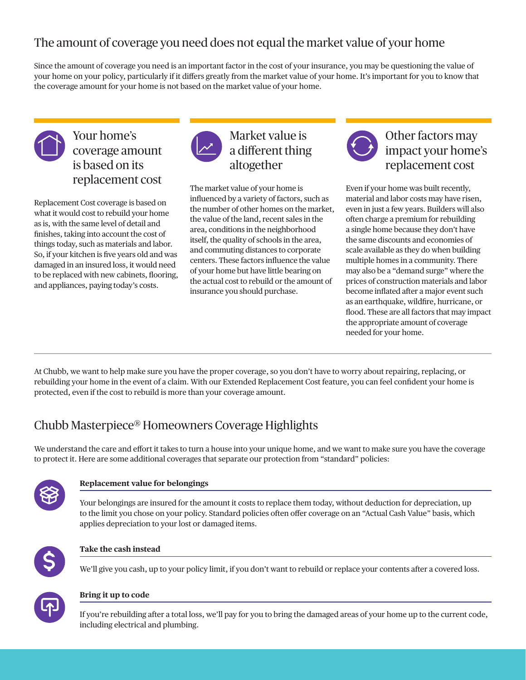## The amount of coverage you need does not equal the market value of your home

Since the amount of coverage you need is an important factor in the cost of your insurance, you may be questioning the value of your home on your policy, particularly if it differs greatly from the market value of your home. It's important for you to know that the coverage amount for your home is not based on the market value of your home.



## Your home's coverage amount is based on its replacement cost

Replacement Cost coverage is based on what it would cost to rebuild your home as is, with the same level of detail and finishes, taking into account the cost of things today, such as materials and labor. So, if your kitchen is five years old and was damaged in an insured loss, it would need to be replaced with new cabinets, flooring, and appliances, paying today's costs.



## Market value is a different thing altogether

The market value of your home is influenced by a variety of factors, such as the number of other homes on the market, the value of the land, recent sales in the area, conditions in the neighborhood itself, the quality of schools in the area, and commuting distances to corporate centers. These factors influence the value of your home but have little bearing on the actual cost to rebuild or the amount of insurance you should purchase.



Other factors may impact your home's replacement cost

Even if your home was built recently, material and labor costs may have risen, even in just a few years. Builders will also often charge a premium for rebuilding a single home because they don't have the same discounts and economies of scale available as they do when building multiple homes in a community. There may also be a "demand surge" where the prices of construction materials and labor become inflated after a major event such as an earthquake, wildfire, hurricane, or flood. These are all factors that may impact the appropriate amount of coverage needed for your home.

At Chubb, we want to help make sure you have the proper coverage, so you don't have to worry about repairing, replacing, or rebuilding your home in the event of a claim. With our Extended Replacement Cost feature, you can feel confident your home is protected, even if the cost to rebuild is more than your coverage amount.

## Chubb Masterpiece® Homeowners Coverage Highlights

We understand the care and effort it takes to turn a house into your unique home, and we want to make sure you have the coverage to protect it. Here are some additional coverages that separate our protection from "standard" policies:



### **Replacement value for belongings**

Your belongings are insured for the amount it costs to replace them today, without deduction for depreciation, up to the limit you chose on your policy. Standard policies often offer coverage on an "Actual Cash Value" basis, which applies depreciation to your lost or damaged items.



### **Take the cash instead**

We'll give you cash, up to your policy limit, if you don't want to rebuild or replace your contents after a covered loss.



### **Bring it up to code**

If you're rebuilding after a total loss, we'll pay for you to bring the damaged areas of your home up to the current code, including electrical and plumbing.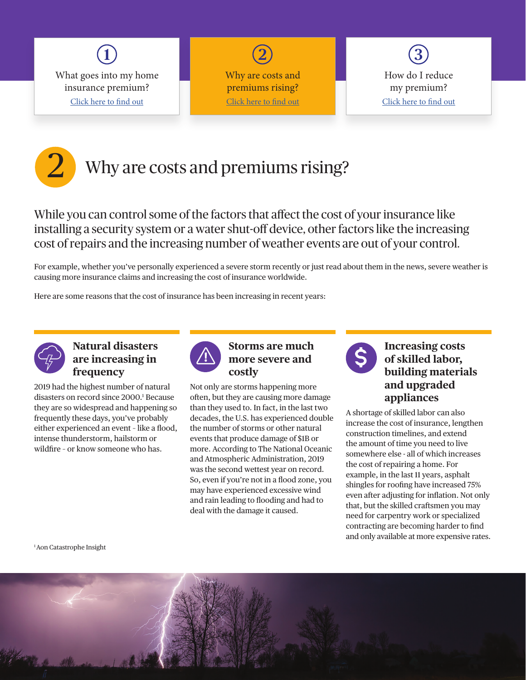

**2** Why are costs and premiums rising? Click here to find out



## 2 Why are costs and premiums rising?

While you can control some of the factors that affect the cost of your insurance like installing a security system or a water shut-off device, other factors like the increasing cost of repairs and the increasing number of weather events are out of your control.

For example, whether you've personally experienced a severe storm recently or just read about them in the news, severe weather is causing more insurance claims and increasing the cost of insurance worldwide.

Here are some reasons that the cost of insurance has been increasing in recent years:



### **Natural disasters are increasing in frequency**

2019 had the highest number of natural disasters on record since 2000.1 Because they are so widespread and happening so frequently these days, you've probably either experienced an event - like a flood, intense thunderstorm, hailstorm or wildfire - or know someone who has.



### **Storms are much more severe and costly**

Not only are storms happening more often, but they are causing more damage than they used to. In fact, in the last two decades, the U.S. has experienced double the number of storms or other natural events that produce damage of \$1B or more. According to The National Oceanic and Atmospheric Administration, 2019 was the second wettest year on record. So, even if you're not in a flood zone, you may have experienced excessive wind and rain leading to flooding and had to deal with the damage it caused.



### **Increasing costs of skilled labor, building materials and upgraded appliances**

A shortage of skilled labor can also increase the cost of insurance, lengthen construction timelines, and extend the amount of time you need to live somewhere else - all of which increases the cost of repairing a home. For example, in the last 11 years, asphalt shingles for roofing have increased 75% even after adjusting for inflation. Not only that, but the skilled craftsmen you may need for carpentry work or specialized contracting are becoming harder to find and only available at more expensive rates.

1 Aon Catastrophe Insight

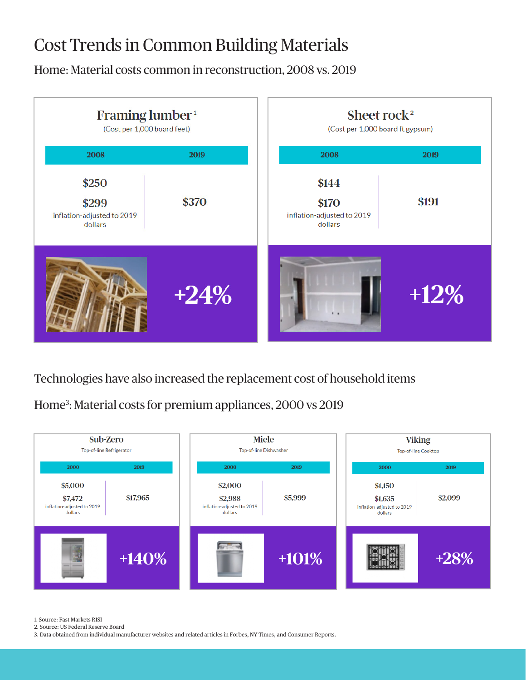## Cost Trends in Common Building Materials

Home: Material costs common in reconstruction, 2008 vs. 2019



Technologies have also increased the replacement cost of household items

Home3 : Material costs for premium appliances, 2000 vs 2019



1. Source: Fast Markets RISI

2. Source: US Federal Reserve Board

3. Data obtained from individual manufacturer websites and related articles in Forbes, NY Times, and Consumer Reports.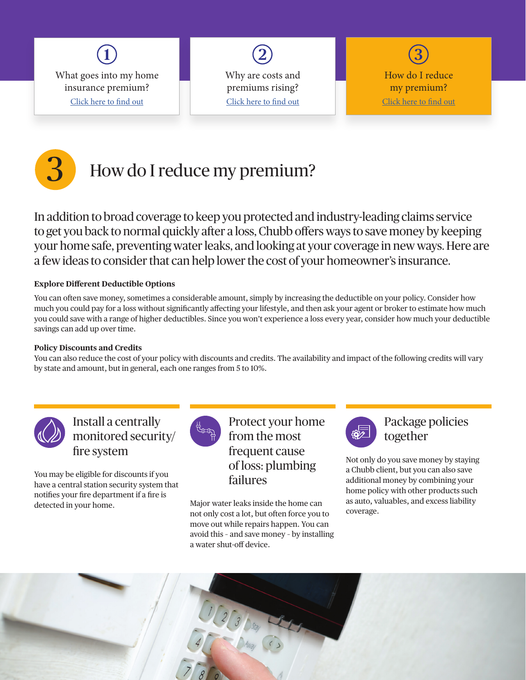

**2** Why are costs and premiums rising? Click here to find out

**3** How do I reduce my premium? Click here to find out



In addition to broad coverage to keep you protected and industry-leading claims service to get you back to normal quickly after a loss, Chubb offers ways to save money by keeping your home safe, preventing water leaks, and looking at your coverage in new ways. Here are a few ideas to consider that can help lower the cost of your homeowner's insurance.

### **Explore Different Deductible Options**

You can often save money, sometimes a considerable amount, simply by increasing the deductible on your policy. Consider how much you could pay for a loss without significantly affecting your lifestyle, and then ask your agent or broker to estimate how much you could save with a range of higher deductibles. Since you won't experience a loss every year, consider how much your deductible savings can add up over time.

### **Policy Discounts and Credits**

You can also reduce the cost of your policy with discounts and credits. The availability and impact of the following credits will vary by state and amount, but in general, each one ranges from 5 to 10%.



Install a centrally monitored security/ fire system

You may be eligible for discounts if you have a central station security system that notifies your fire department if a fire is detected in your home.



Protect your home from the most frequent cause of loss: plumbing failures

Major water leaks inside the home can not only cost a lot, but often force you to move out while repairs happen. You can avoid this – and save money – by installing a water shut-off device.



Package policies together

Not only do you save money by staying a Chubb client, but you can also save additional money by combining your home policy with other products such as auto, valuables, and excess liability coverage.